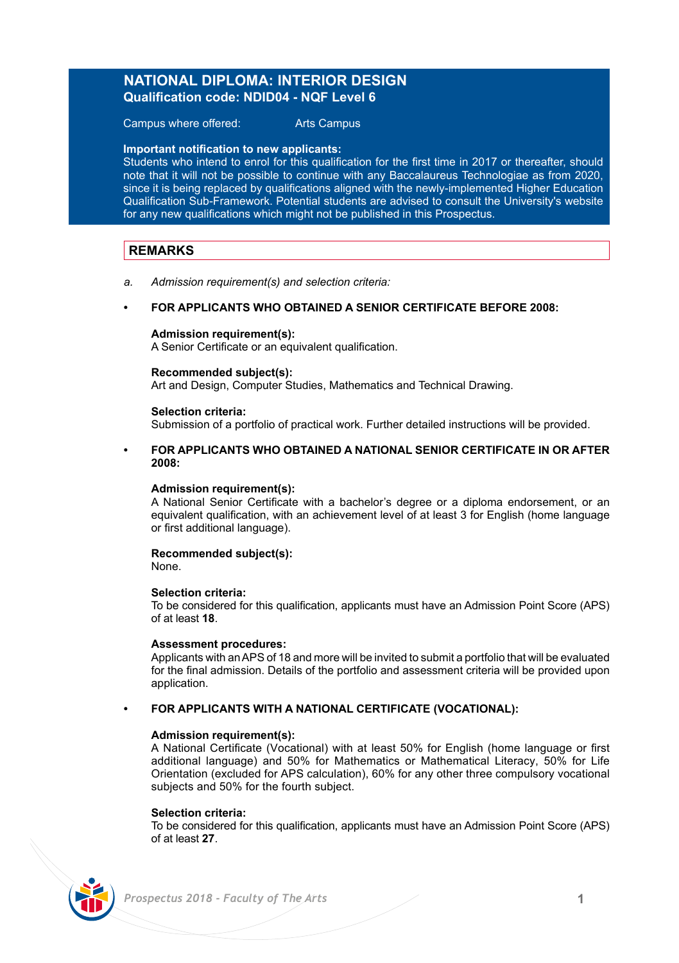# **NATIONAL DIPLOMA: INTERIOR DESIGN Qualification code: NDID04 - NQF Level 6**

Campus where offered: Arts Campus

#### **Important notification to new applicants:**

Students who intend to enrol for this qualification for the first time in 2017 or thereafter, should note that it will not be possible to continue with any Baccalaureus Technologiae as from 2020, since it is being replaced by qualifications aligned with the newly-implemented Higher Education Qualification Sub-Framework. Potential students are advised to consult the University's website for any new qualifications which might not be published in this Prospectus.

# **REMARKS**

*a. Admission requirement(s) and selection criteria:*

## **• FOR APPLICANTS WHO OBTAINED A SENIOR CERTIFICATE BEFORE 2008:**

#### **Admission requirement(s):**

A Senior Certificate or an equivalent qualification.

#### **Recommended subject(s):**

Art and Design, Computer Studies, Mathematics and Technical Drawing.

### **Selection criteria:**

Submission of a portfolio of practical work. Further detailed instructions will be provided.

### **• FOR APPLICANTS WHO OBTAINED A NATIONAL SENIOR CERTIFICATE IN OR AFTER 2008:**

#### **Admission requirement(s):**

A National Senior Certificate with a bachelor's degree or a diploma endorsement, or an equivalent qualification, with an achievement level of at least 3 for English (home language or first additional language).

## **Recommended subject(s):**

None.

### **Selection criteria:**

To be considered for this qualification, applicants must have an Admission Point Score (APS) of at least **18**.

#### **Assessment procedures:**

Applicants with an APS of 18 and more will be invited to submit a portfolio that will be evaluated for the final admission. Details of the portfolio and assessment criteria will be provided upon application.

### **• FOR APPLICANTS WITH A NATIONAL CERTIFICATE (VOCATIONAL):**

### **Admission requirement(s):**

A National Certificate (Vocational) with at least 50% for English (home language or first additional language) and 50% for Mathematics or Mathematical Literacy, 50% for Life Orientation (excluded for APS calculation), 60% for any other three compulsory vocational subjects and 50% for the fourth subject.

#### **Selection criteria:**

To be considered for this qualification, applicants must have an Admission Point Score (APS) of at least **27**.

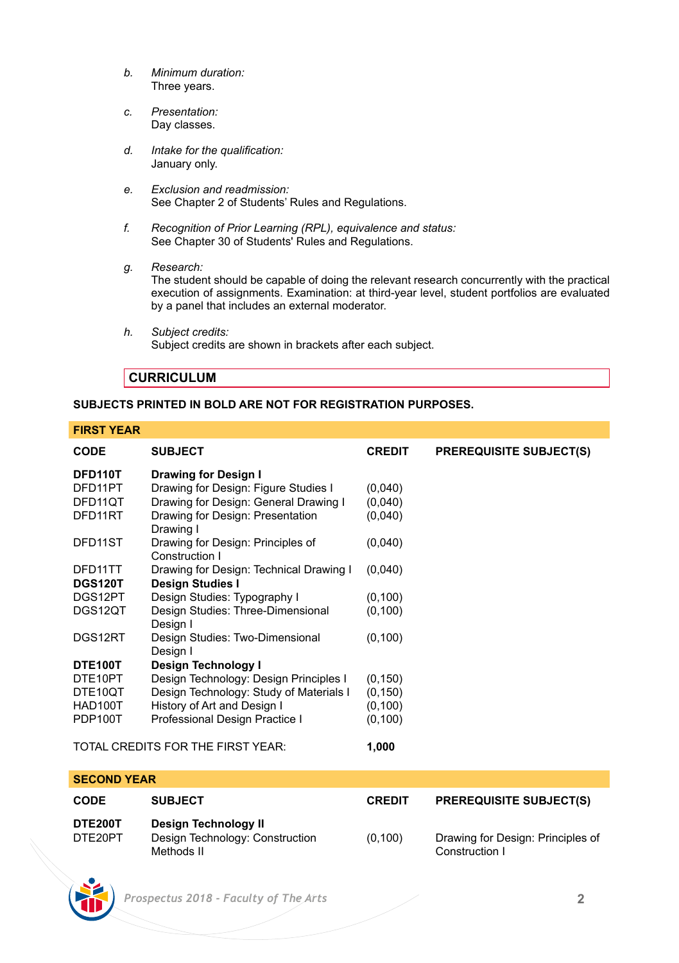- *b. Minimum duration:* Three years.
- *c. Presentation:* Day classes.
- *d. Intake for the qualification:* January only.
- *e. Exclusion and readmission:* See Chapter 2 of Students' Rules and Regulations.
- *f. Recognition of Prior Learning (RPL), equivalence and status:* See Chapter 30 of Students' Rules and Regulations.
- *g. Research:*
	- The student should be capable of doing the relevant research concurrently with the practical execution of assignments. Examination: at third-year level, student portfolios are evaluated by a panel that includes an external moderator.
- *h. Subject credits:* Subject credits are shown in brackets after each subject.

# **CURRICULUM**

## **SUBJECTS PRINTED IN BOLD ARE NOT FOR REGISTRATION PURPOSES.**

### **FIRST YEAR**

| <b>CODE</b>                       | <b>SUBJECT</b>                                      | <b>CREDIT</b> | <b>PREREQUISITE SUBJECT(S)</b> |
|-----------------------------------|-----------------------------------------------------|---------------|--------------------------------|
| DFD110T                           | Drawing for Design I                                |               |                                |
| DFD11PT                           | Drawing for Design: Figure Studies I                | (0,040)       |                                |
| DFD11QT                           | Drawing for Design: General Drawing I               | (0,040)       |                                |
| DFD11RT                           | Drawing for Design: Presentation<br>Drawing I       | (0,040)       |                                |
| DFD11ST                           | Drawing for Design: Principles of<br>Construction I | (0,040)       |                                |
| DED11TT                           | Drawing for Design: Technical Drawing I             | (0,040)       |                                |
| <b>DGS120T</b>                    | Design Studies I                                    |               |                                |
| DGS12PT                           | Design Studies: Typography I                        | (0, 100)      |                                |
| DGS12QT                           | Design Studies: Three-Dimensional<br>Design I       | (0, 100)      |                                |
| DGS12RT                           | Design Studies: Two-Dimensional<br>Desian I         | (0, 100)      |                                |
| DTE100T                           | Design Technology I                                 |               |                                |
| DTE10PT                           | Design Technology: Design Principles I              | (0, 150)      |                                |
| DTE10QT                           | Design Technology: Study of Materials I             | (0, 150)      |                                |
| HAD100T                           | History of Art and Design I                         | (0, 100)      |                                |
| PDP100T                           | Professional Design Practice I                      | (0, 100)      |                                |
| TOTAL CREDITS FOR THE FIRST YEAR: |                                                     | 1,000         |                                |

### **SECOND YEAR**

| <b>CODE</b>        | <b>SUBJECT</b>                                                               | <b>CREDIT</b> | <b>PREREQUISITE SUBJECT(S)</b>                      |
|--------------------|------------------------------------------------------------------------------|---------------|-----------------------------------------------------|
| DTE200T<br>DTE20PT | <b>Desian Technology II</b><br>Design Technology: Construction<br>Methods II | (0, 100)      | Drawing for Design: Principles of<br>Construction I |

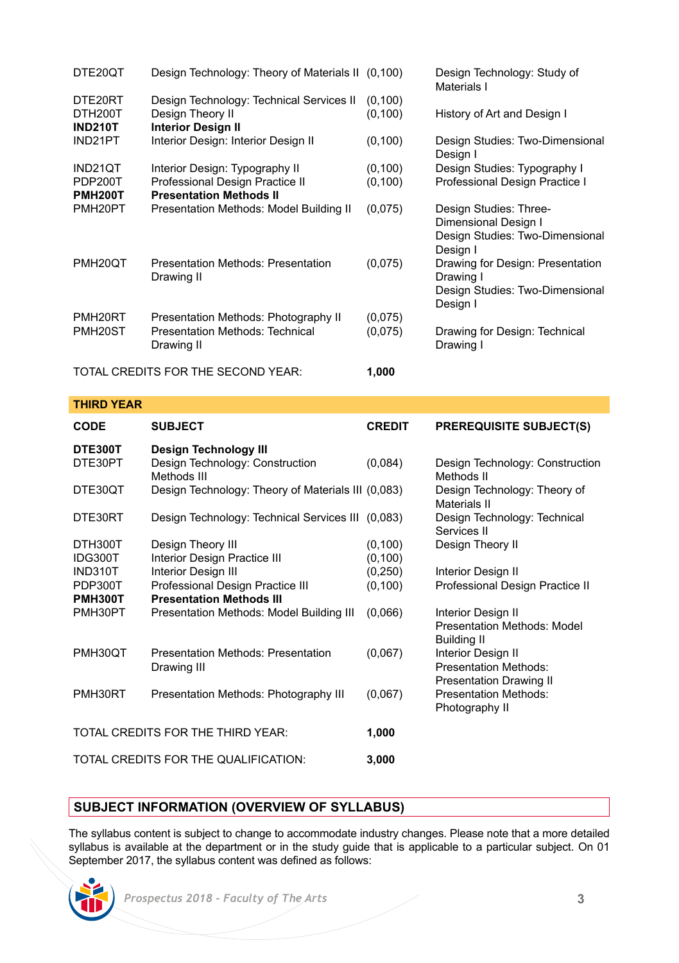| DTE20QT                              | Design Technology: Theory of Materials II (0,100)                                         |                      | Design Technology: Study of<br>Materials I                                                    |
|--------------------------------------|-------------------------------------------------------------------------------------------|----------------------|-----------------------------------------------------------------------------------------------|
| DTE20RT<br>DTH200T<br><b>IND210T</b> | Design Technology: Technical Services II<br>Design Theory II<br><b>Interior Design II</b> | (0, 100)<br>(0, 100) | History of Art and Design I                                                                   |
| IND21PT                              | Interior Design: Interior Design II                                                       | (0, 100)             | Design Studies: Two-Dimensional<br>Design I                                                   |
| IND21QT                              | Interior Design: Typography II                                                            | (0, 100)             | Design Studies: Typography I                                                                  |
| PDP200T                              | Professional Design Practice II                                                           | (0, 100)             | Professional Design Practice I                                                                |
| <b>PMH200T</b>                       | <b>Presentation Methods II</b>                                                            |                      |                                                                                               |
| PMH <sub>20</sub> PT                 | Presentation Methods: Model Building II                                                   | (0,075)              | Design Studies: Three-<br>Dimensional Design I<br>Design Studies: Two-Dimensional<br>Design I |
| PMH <sub>20</sub> OT                 | Presentation Methods: Presentation<br>Drawing II                                          | (0,075)              | Drawing for Design: Presentation<br>Drawing I<br>Design Studies: Two-Dimensional<br>Design I  |
| PMH <sub>20RT</sub>                  | Presentation Methods: Photography II                                                      | (0,075)              |                                                                                               |
| PMH <sub>20</sub> ST                 | Presentation Methods: Technical<br>Drawing II                                             | (0,075)              | Drawing for Design: Technical<br>Drawing I                                                    |
| TOTAL CREDITS FOR THE SECOND YEAR:   |                                                                                           | 1,000                |                                                                                               |

# **THIRD YEAR**

| <b>CODE</b>                       | <b>SUBJECT</b>                                     | <b>CREDIT</b> | <b>PREREQUISITE SUBJECT(S)</b>                |  |  |
|-----------------------------------|----------------------------------------------------|---------------|-----------------------------------------------|--|--|
| DTE300T                           | Design Technology III                              |               |                                               |  |  |
| DTE30PT                           | Design Technology: Construction<br>Methods III     | (0,084)       | Design Technology: Construction<br>Methods II |  |  |
|                                   |                                                    |               |                                               |  |  |
| DTE30OT                           | Design Technology: Theory of Materials III (0,083) |               | Design Technology: Theory of<br>Materials II  |  |  |
| DTE30RT                           | Design Technology: Technical Services III (0,083)  |               | Design Technology: Technical<br>Services II   |  |  |
| DTH300T                           | Design Theory III                                  | (0, 100)      | Design Theory II                              |  |  |
| IDG300T                           | Interior Design Practice III                       | (0, 100)      |                                               |  |  |
| <b>IND310T</b>                    | Interior Design III                                | (0, 250)      | <b>Interior Design II</b>                     |  |  |
| PDP300T                           | Professional Design Practice III                   | (0, 100)      | Professional Design Practice II               |  |  |
| <b>PMH300T</b>                    | <b>Presentation Methods III</b>                    |               |                                               |  |  |
| PMH30PT                           | Presentation Methods: Model Building III           | (0,066)       | <b>Interior Design II</b>                     |  |  |
|                                   |                                                    |               | Presentation Methods: Model                   |  |  |
|                                   |                                                    |               | <b>Building II</b>                            |  |  |
| PMH30OT                           | Presentation Methods: Presentation                 | (0,067)       | <b>Interior Design II</b>                     |  |  |
|                                   | Drawing III                                        |               | Presentation Methods:                         |  |  |
|                                   |                                                    |               | <b>Presentation Drawing II</b>                |  |  |
| PMH30RT                           | Presentation Methods: Photography III              | (0,067)       | Presentation Methods:                         |  |  |
|                                   |                                                    |               | Photography II                                |  |  |
| TOTAL CREDITS FOR THE THIRD YEAR. |                                                    | 1,000         |                                               |  |  |
|                                   |                                                    |               |                                               |  |  |
|                                   | TOTAL CREDITS FOR THE QUALIFICATION:               | 3,000         |                                               |  |  |

# **SUBJECT INFORMATION (OVERVIEW OF SYLLABUS)**

The syllabus content is subject to change to accommodate industry changes. Please note that a more detailed syllabus is available at the department or in the study guide that is applicable to a particular subject. On 01 September 2017, the syllabus content was defined as follows:

 *Prospectus 2018 - Faculty of The Arts* **3**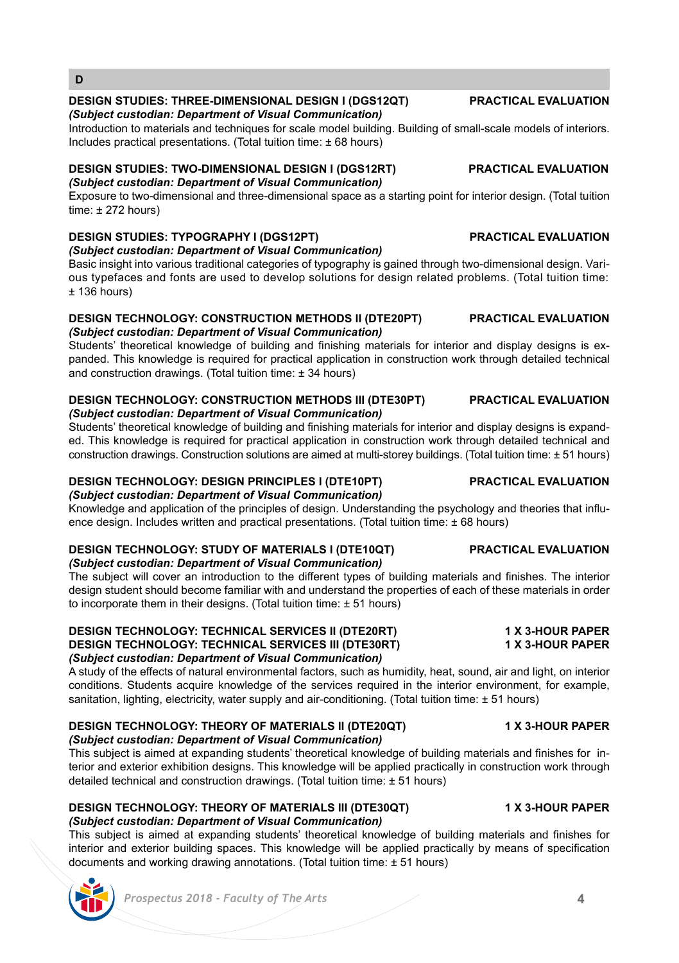## **DESIGN STUDIES: THREE-DIMENSIONAL DESIGN I (DGS12QT) PRACTICAL EVALUATION** *(Subject custodian: Department of Visual Communication)*

Introduction to materials and techniques for scale model building. Building of small-scale models of interiors. Includes practical presentations. (Total tuition time: ± 68 hours)

# **DESIGN STUDIES: TWO-DIMENSIONAL DESIGN I (DGS12RT) PRACTICAL EVALUATION**

*(Subject custodian: Department of Visual Communication)* Exposure to two-dimensional and three-dimensional space as a starting point for interior design. (Total tuition  $time: + 272 hours$ 

# **DESIGN STUDIES: TYPOGRAPHY I (DGS12PT) PRACTICAL EVALUATION**

**D**

*(Subject custodian: Department of Visual Communication)*

Basic insight into various traditional categories of typography is gained through two-dimensional design. Various typefaces and fonts are used to develop solutions for design related problems. (Total tuition time:  $± 136$  hours)

## **DESIGN TECHNOLOGY: CONSTRUCTION METHODS II (DTE20PT) PRACTICAL EVALUATION** *(Subject custodian: Department of Visual Communication)*

Students' theoretical knowledge of building and finishing materials for interior and display designs is expanded. This knowledge is required for practical application in construction work through detailed technical and construction drawings. (Total tuition time: ± 34 hours)

### **DESIGN TECHNOLOGY: CONSTRUCTION METHODS III (DTE30PT) PRACTICAL EVALUATION** *(Subject custodian: Department of Visual Communication)*

Students' theoretical knowledge of building and finishing materials for interior and display designs is expanded. This knowledge is required for practical application in construction work through detailed technical and construction drawings. Construction solutions are aimed at multi-storey buildings. (Total tuition time: ± 51 hours)

# **DESIGN TECHNOLOGY: DESIGN PRINCIPLES I (DTE10PT) PRACTICAL EVALUATION**

*(Subject custodian: Department of Visual Communication)* Knowledge and application of the principles of design. Understanding the psychology and theories that influence design. Includes written and practical presentations. (Total tuition time: ± 68 hours)

### **DESIGN TECHNOLOGY: STUDY OF MATERIALS I (DTE10QT) PRACTICAL EVALUATION** *(Subject custodian: Department of Visual Communication)*

The subject will cover an introduction to the different types of building materials and finishes. The interior design student should become familiar with and understand the properties of each of these materials in order to incorporate them in their designs. (Total tuition time: ± 51 hours)

### **DESIGN TECHNOLOGY: TECHNICAL SERVICES II (DTE20RT) 1 X 3-HOUR PAPER DESIGN TECHNOLOGY: TECHNICAL SERVICES III (DTE30RT)** *(Subject custodian: Department of Visual Communication)*

A study of the effects of natural environmental factors, such as humidity, heat, sound, air and light, on interior conditions. Students acquire knowledge of the services required in the interior environment, for example, sanitation, lighting, electricity, water supply and air-conditioning. (Total tuition time: ± 51 hours)

### **DESIGN TECHNOLOGY: THEORY OF MATERIALS II (DTE20QT) 1 X 3-HOUR PAPER** *(Subject custodian: Department of Visual Communication)*

This subject is aimed at expanding students' theoretical knowledge of building materials and finishes for interior and exterior exhibition designs. This knowledge will be applied practically in construction work through detailed technical and construction drawings. (Total tuition time: ± 51 hours)

# **DESIGN TECHNOLOGY: THEORY OF MATERIALS III (DTE30QT) 1 X 3-HOUR PAPER**

*(Subject custodian: Department of Visual Communication)* This subject is aimed at expanding students' theoretical knowledge of building materials and finishes for interior and exterior building spaces. This knowledge will be applied practically by means of specification documents and working drawing annotations. (Total tuition time: ± 51 hours)



# *Prospectus 2018 - Faculty of The Arts* **4**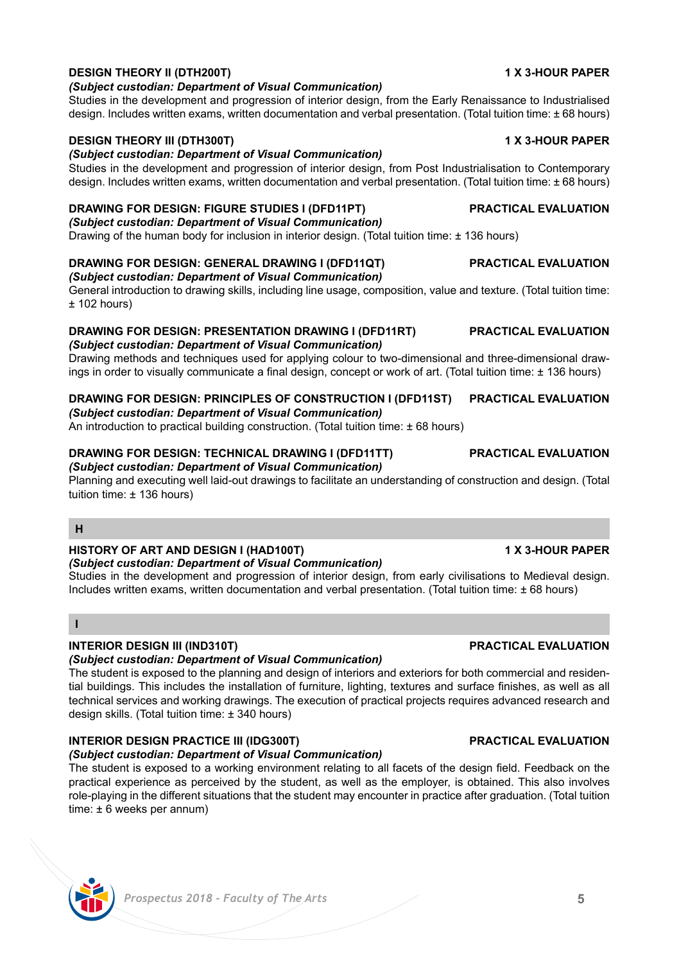# *Prospectus 2018 - Faculty of The Arts* **5**

### **DESIGN THEORY II (DTH200T) 1 X 3-HOUR PAPER** *(Subject custodian: Department of Visual Communication)*

Studies in the development and progression of interior design, from the Early Renaissance to Industrialised design. Includes written exams, written documentation and verbal presentation. (Total tuition time: ± 68 hours)

### **DESIGN THEORY III (DTH300T) 1 X 3-HOUR PAPER**

# *(Subject custodian: Department of Visual Communication)*

Studies in the development and progression of interior design, from Post Industrialisation to Contemporary design. Includes written exams, written documentation and verbal presentation. (Total tuition time: ± 68 hours)

#### **DRAWING FOR DESIGN: FIGURE STUDIES I (DFD11PT) PRACTICAL EVALUATION** *(Subject custodian: Department of Visual Communication)*

Drawing of the human body for inclusion in interior design. (Total tuition time: ± 136 hours)

# **DRAWING FOR DESIGN: GENERAL DRAWING I (DFD11QT) PRACTICAL EVALUATION**

# *(Subject custodian: Department of Visual Communication)*

General introduction to drawing skills, including line usage, composition, value and texture. (Total tuition time:  $±$  102 hours)

# **DRAWING FOR DESIGN: PRESENTATION DRAWING I (DFD11RT) PRACTICAL EVALUATION**

*(Subject custodian: Department of Visual Communication)*

# Drawing methods and techniques used for applying colour to two-dimensional and three-dimensional drawings in order to visually communicate a final design, concept or work of art. (Total tuition time: ± 136 hours)

**DRAWING FOR DESIGN: PRINCIPLES OF CONSTRUCTION I (DFD11ST) PRACTICAL EVALUATION**

# *(Subject custodian: Department of Visual Communication)*

An introduction to practical building construction. (Total tuition time: ± 68 hours)

# **DRAWING FOR DESIGN: TECHNICAL DRAWING I (DFD11TT) PRACTICAL EVALUATION**

# *(Subject custodian: Department of Visual Communication)*

Planning and executing well laid-out drawings to facilitate an understanding of construction and design. (Total tuition time: ± 136 hours)

# **H**

## **HISTORY OF ART AND DESIGN I (HAD100T) 1 X 3-HOUR PAPER**

## *(Subject custodian: Department of Visual Communication)*

Studies in the development and progression of interior design, from early civilisations to Medieval design. Includes written exams, written documentation and verbal presentation. (Total tuition time: ± 68 hours)

## **I**

# **INTERIOR DESIGN III (IND310T) PRACTICAL EVALUATION**

# *(Subject custodian: Department of Visual Communication)*

The student is exposed to the planning and design of interiors and exteriors for both commercial and residential buildings. This includes the installation of furniture, lighting, textures and surface finishes, as well as all technical services and working drawings. The execution of practical projects requires advanced research and design skills. (Total tuition time: ± 340 hours)

# **INTERIOR DESIGN PRACTICE III (IDG300T) PRACTICAL EVALUATION**

# *(Subject custodian: Department of Visual Communication)*

The student is exposed to a working environment relating to all facets of the design field. Feedback on the practical experience as perceived by the student, as well as the employer, is obtained. This also involves role-playing in the different situations that the student may encounter in practice after graduation. (Total tuition time: ± 6 weeks per annum)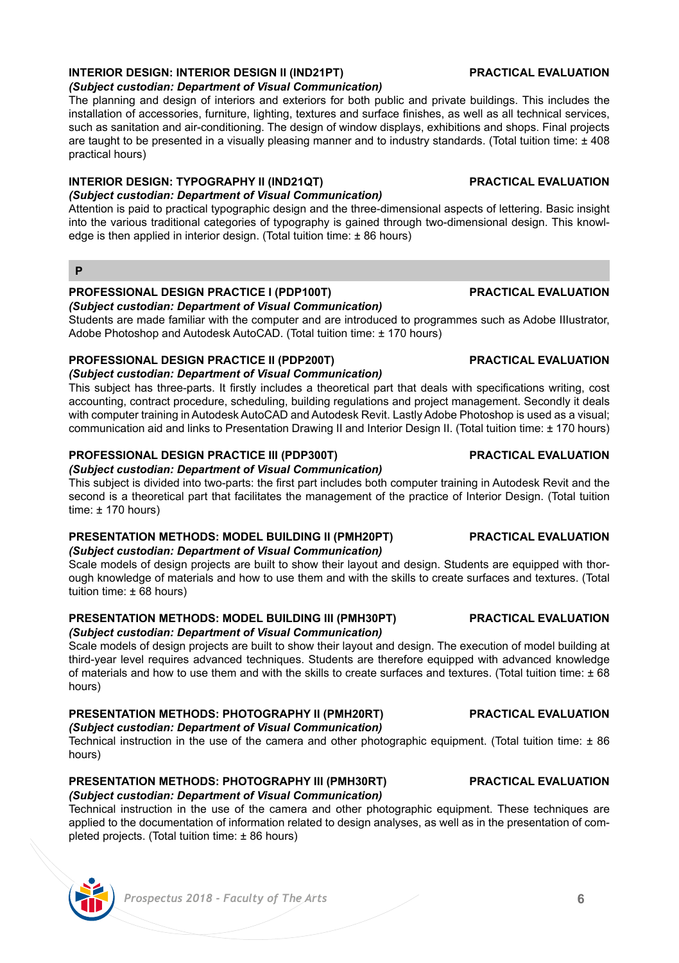# **INTERIOR DESIGN: INTERIOR DESIGN II (IND21PT) PRACTICAL EVALUATION**

### *(Subject custodian: Department of Visual Communication)*

The planning and design of interiors and exteriors for both public and private buildings. This includes the installation of accessories, furniture, lighting, textures and surface finishes, as well as all technical services, such as sanitation and air-conditioning. The design of window displays, exhibitions and shops. Final projects are taught to be presented in a visually pleasing manner and to industry standards. (Total tuition time: ± 408 practical hours)

### **INTERIOR DESIGN: TYPOGRAPHY II (IND21QT) PRACTICAL EVALUATION** *(Subject custodian: Department of Visual Communication)*

### Attention is paid to practical typographic design and the three-dimensional aspects of lettering. Basic insight into the various traditional categories of typography is gained through two-dimensional design. This knowledge is then applied in interior design. (Total tuition time: ± 86 hours)

### **P**

## **PROFESSIONAL DESIGN PRACTICE I (PDP100T) PRACTICAL EVALUATION**

*(Subject custodian: Department of Visual Communication)*

Students are made familiar with the computer and are introduced to programmes such as Adobe IIIustrator, Adobe Photoshop and Autodesk AutoCAD. (Total tuition time: ± 170 hours)

# **PROFESSIONAL DESIGN PRACTICE II (PDP200T) PRACTICAL EVALUATION**

*(Subject custodian: Department of Visual Communication)*

This subject has three-parts. It firstly includes a theoretical part that deals with specifications writing, cost accounting, contract procedure, scheduling, building regulations and project management. Secondly it deals with computer training in Autodesk AutoCAD and Autodesk Revit. Lastly Adobe Photoshop is used as a visual; communication aid and links to Presentation Drawing II and Interior Design II. (Total tuition time: ± 170 hours)

## **PROFESSIONAL DESIGN PRACTICE III (PDP300T) PRACTICAL EVALUATION**

*(Subject custodian: Department of Visual Communication)*

This subject is divided into two-parts: the first part includes both computer training in Autodesk Revit and the second is a theoretical part that facilitates the management of the practice of Interior Design. (Total tuition time: ± 170 hours)

### **PRESENTATION METHODS: MODEL BUILDING II (PMH20PT) PRACTICAL EVALUATION** *(Subject custodian: Department of Visual Communication)*

Scale models of design projects are built to show their layout and design. Students are equipped with thorough knowledge of materials and how to use them and with the skills to create surfaces and textures. (Total tuition time: ± 68 hours)

# **PRESENTATION METHODS: MODEL BUILDING III (PMH30PT) PRACTICAL EVALUATION**

## *(Subject custodian: Department of Visual Communication)*

Scale models of design projects are built to show their layout and design. The execution of model building at third-year level requires advanced techniques. Students are therefore equipped with advanced knowledge of materials and how to use them and with the skills to create surfaces and textures. (Total tuition time: ± 68 hours)

## **PRESENTATION METHODS: PHOTOGRAPHY II (PMH20RT) PRACTICAL EVALUATION**

### *(Subject custodian: Department of Visual Communication)*

Technical instruction in the use of the camera and other photographic equipment. (Total tuition time: ± 86 hours)

### **PRESENTATION METHODS: PHOTOGRAPHY III (PMH30RT) PRACTICAL EVALUATION** *(Subject custodian: Department of Visual Communication)*

Technical instruction in the use of the camera and other photographic equipment. These techniques are applied to the documentation of information related to design analyses, as well as in the presentation of completed projects. (Total tuition time: ± 86 hours)